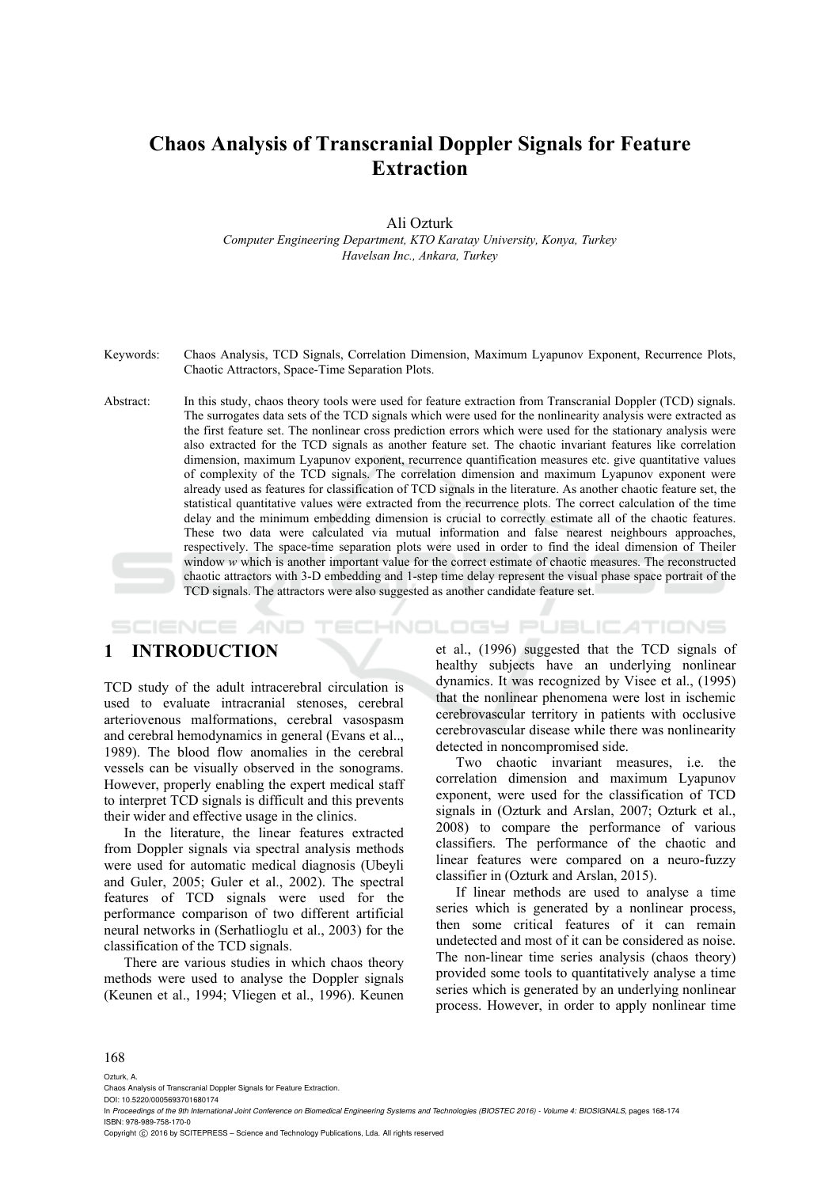# **Chaos Analysis of Transcranial Doppler Signals for Feature Extraction**

Ali Ozturk

*Computer Engineering Department, KTO Karatay University, Konya, Turkey Havelsan Inc., Ankara, Turkey* 

Keywords: Chaos Analysis, TCD Signals, Correlation Dimension, Maximum Lyapunov Exponent, Recurrence Plots, Chaotic Attractors, Space-Time Separation Plots.

Abstract: In this study, chaos theory tools were used for feature extraction from Transcranial Doppler (TCD) signals. The surrogates data sets of the TCD signals which were used for the nonlinearity analysis were extracted as the first feature set. The nonlinear cross prediction errors which were used for the stationary analysis were also extracted for the TCD signals as another feature set. The chaotic invariant features like correlation dimension, maximum Lyapunov exponent, recurrence quantification measures etc. give quantitative values of complexity of the TCD signals. The correlation dimension and maximum Lyapunov exponent were already used as features for classification of TCD signals in the literature. As another chaotic feature set, the statistical quantitative values were extracted from the recurrence plots. The correct calculation of the time delay and the minimum embedding dimension is crucial to correctly estimate all of the chaotic features. These two data were calculated via mutual information and false nearest neighbours approaches, respectively. The space-time separation plots were used in order to find the ideal dimension of Theiler window *w* which is another important value for the correct estimate of chaotic measures. The reconstructed chaotic attractors with 3-D embedding and 1-step time delay represent the visual phase space portrait of the TCD signals. The attractors were also suggested as another candidate feature set.

*IHNOLOGY PUBLICATIONS* SCIENCE *A*ND

## **1 INTRODUCTION**

TCD study of the adult intracerebral circulation is used to evaluate intracranial stenoses, cerebral arteriovenous malformations, cerebral vasospasm and cerebral hemodynamics in general (Evans et al.., 1989). The blood flow anomalies in the cerebral vessels can be visually observed in the sonograms. However, properly enabling the expert medical staff to interpret TCD signals is difficult and this prevents their wider and effective usage in the clinics.

In the literature, the linear features extracted from Doppler signals via spectral analysis methods were used for automatic medical diagnosis (Ubeyli and Guler, 2005; Guler et al., 2002). The spectral features of TCD signals were used for the performance comparison of two different artificial neural networks in (Serhatlioglu et al., 2003) for the classification of the TCD signals.

There are various studies in which chaos theory methods were used to analyse the Doppler signals (Keunen et al., 1994; Vliegen et al., 1996). Keunen

et al., (1996) suggested that the TCD signals of healthy subjects have an underlying nonlinear dynamics. It was recognized by Visee et al., (1995) that the nonlinear phenomena were lost in ischemic cerebrovascular territory in patients with occlusive cerebrovascular disease while there was nonlinearity detected in noncompromised side.

Two chaotic invariant measures, i.e. the correlation dimension and maximum Lyapunov exponent, were used for the classification of TCD signals in (Ozturk and Arslan, 2007; Ozturk et al., 2008) to compare the performance of various classifiers. The performance of the chaotic and linear features were compared on a neuro-fuzzy classifier in (Ozturk and Arslan, 2015).

If linear methods are used to analyse a time series which is generated by a nonlinear process, then some critical features of it can remain undetected and most of it can be considered as noise. The non-linear time series analysis (chaos theory) provided some tools to quantitatively analyse a time series which is generated by an underlying nonlinear process. However, in order to apply nonlinear time

#### 168

Ozturk, A.

Chaos Analysis of Transcranial Doppler Signals for Feature Extraction.

DOI: 10.5220/0005693701680174

Copyright © 2016 by SCITEPRESS - Science and Technology Publications, Lda. All rights reserved

In *Proceedings of the 9th International Joint Conference on Biomedical Engineering Systems and Technologies (BIOSTEC 2016) - Volume 4: BIOSIGNALS*, pages 168-174 ISBN: 978-989-758-170-0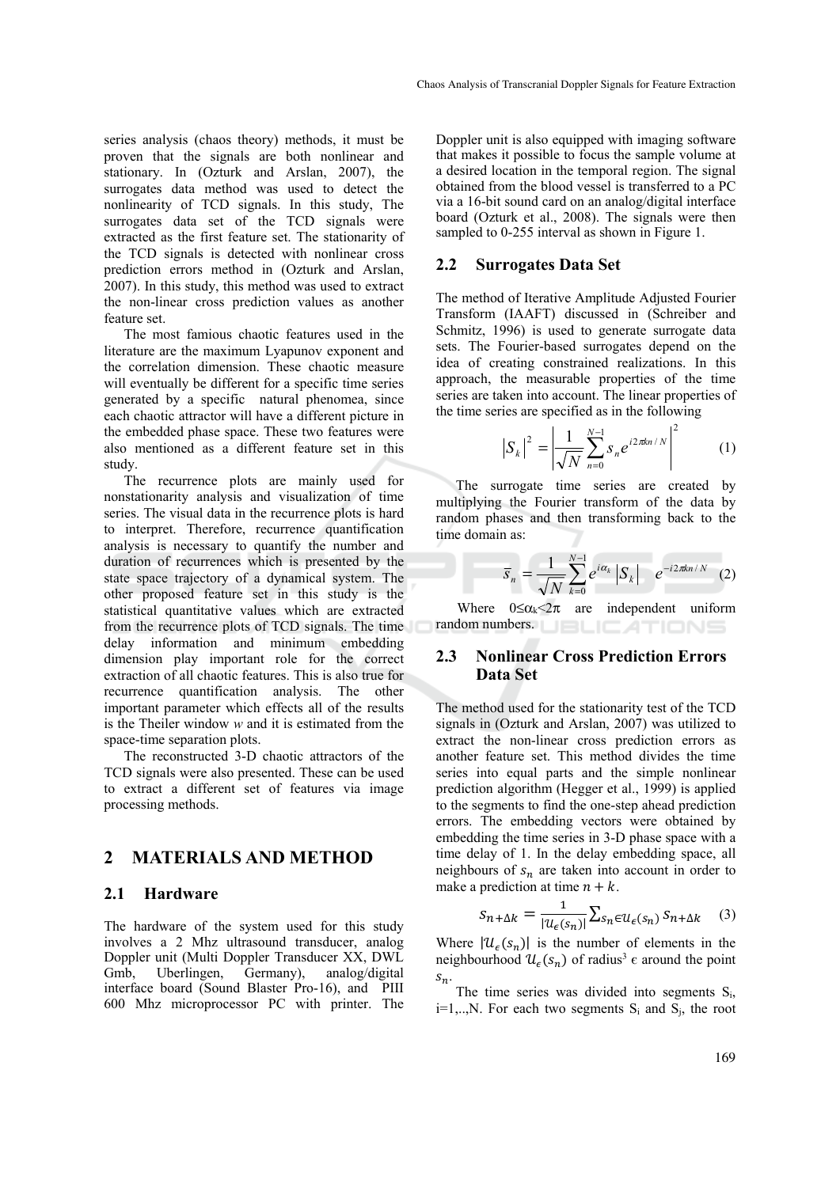series analysis (chaos theory) methods, it must be proven that the signals are both nonlinear and stationary. In (Ozturk and Arslan, 2007), the surrogates data method was used to detect the nonlinearity of TCD signals. In this study, The surrogates data set of the TCD signals were extracted as the first feature set. The stationarity of the TCD signals is detected with nonlinear cross prediction errors method in (Ozturk and Arslan, 2007). In this study, this method was used to extract the non-linear cross prediction values as another feature set.

The most famious chaotic features used in the literature are the maximum Lyapunov exponent and the correlation dimension. These chaotic measure will eventually be different for a specific time series generated by a specific natural phenomea, since each chaotic attractor will have a different picture in the embedded phase space. These two features were also mentioned as a different feature set in this study.

The recurrence plots are mainly used for nonstationarity analysis and visualization of time series. The visual data in the recurrence plots is hard to interpret. Therefore, recurrence quantification analysis is necessary to quantify the number and duration of recurrences which is presented by the state space trajectory of a dynamical system. The other proposed feature set in this study is the statistical quantitative values which are extracted from the recurrence plots of TCD signals. The time delay information and minimum embedding dimension play important role for the correct extraction of all chaotic features. This is also true for recurrence quantification analysis. The other important parameter which effects all of the results is the Theiler window *w* and it is estimated from the space-time separation plots.

The reconstructed 3-D chaotic attractors of the TCD signals were also presented. These can be used to extract a different set of features via image processing methods.

## **2 MATERIALS AND METHOD**

#### **2.1 Hardware**

The hardware of the system used for this study involves a 2 Mhz ultrasound transducer, analog Doppler unit (Multi Doppler Transducer XX, DWL Gmb, Uberlingen, Germany), analog/digital interface board (Sound Blaster Pro-16), and PIII 600 Mhz microprocessor PC with printer. The Doppler unit is also equipped with imaging software that makes it possible to focus the sample volume at a desired location in the temporal region. The signal obtained from the blood vessel is transferred to a PC via a 16-bit sound card on an analog/digital interface board (Ozturk et al., 2008). The signals were then sampled to 0-255 interval as shown in Figure 1.

#### **2.2 Surrogates Data Set**

The method of Iterative Amplitude Adjusted Fourier Transform (IAAFT) discussed in (Schreiber and Schmitz, 1996) is used to generate surrogate data sets. The Fourier-based surrogates depend on the idea of creating constrained realizations. In this approach, the measurable properties of the time series are taken into account. The linear properties of the time series are specified as in the following

$$
\left| S_k \right|^2 = \left| \frac{1}{\sqrt{N}} \sum_{n=0}^{N-1} s_n e^{i 2\pi k n/N} \right|^2 \tag{1}
$$

The surrogate time series are created by multiplying the Fourier transform of the data by random phases and then transforming back to the time domain as:

$$
\overline{S}_n = \frac{1}{\sqrt{N}} \sum_{k=0}^{N-1} e^{i\alpha_k} |S_k| \quad e^{-i2\pi kn/N} \quad (2)
$$

Where  $0 \le \alpha_k < 2\pi$  are independent uniform random numbers.

### **2.3 Nonlinear Cross Prediction Errors Data Set**

The method used for the stationarity test of the TCD signals in (Ozturk and Arslan, 2007) was utilized to extract the non-linear cross prediction errors as another feature set. This method divides the time series into equal parts and the simple nonlinear prediction algorithm (Hegger et al., 1999) is applied to the segments to find the one-step ahead prediction errors. The embedding vectors were obtained by embedding the time series in 3-D phase space with a time delay of 1. In the delay embedding space, all neighbours of  $s_n$  are taken into account in order to make a prediction at time  $n + k$ .

$$
S_{n+\Delta k} = \frac{1}{|\mathcal{U}_{\epsilon}(s_n)|} \sum_{s_n \in \mathcal{U}_{\epsilon}(s_n)} S_{n+\Delta k} \quad (3)
$$

Where  $|\mathcal{U}_{\epsilon}(s_n)|$  is the number of elements in the neighbourhood  $\mathcal{U}_{\epsilon}(s_n)$  of radius<sup>3</sup>  $\epsilon$  around the point  $s_n$ .

The time series was divided into segments S<sub>i</sub>,  $i=1,...,N$ . For each two segments  $S_i$  and  $S_j$ , the root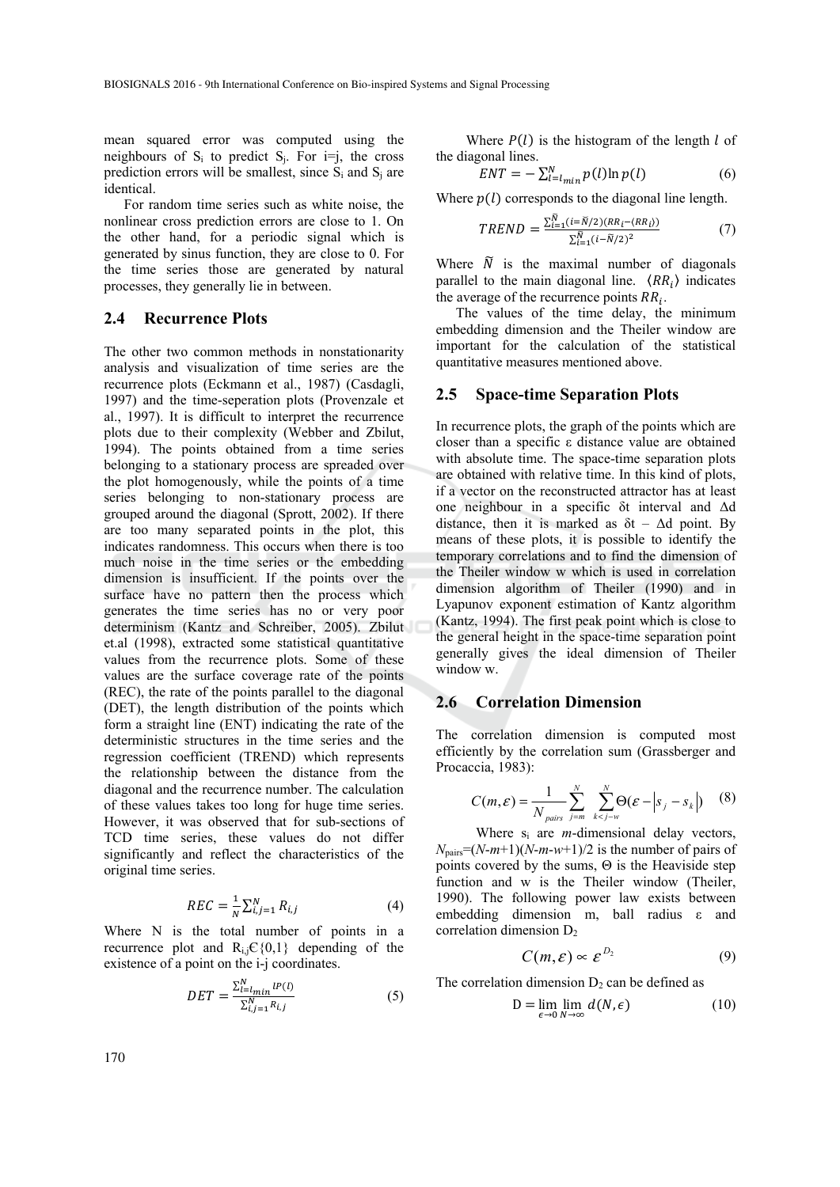mean squared error was computed using the neighbours of  $S_i$  to predict  $S_i$ . For  $i=j$ , the cross prediction errors will be smallest, since  $S_i$  and  $S_j$  are identical.

For random time series such as white noise, the nonlinear cross prediction errors are close to 1. On the other hand, for a periodic signal which is generated by sinus function, they are close to 0. For the time series those are generated by natural processes, they generally lie in between.

#### **2.4 Recurrence Plots**

The other two common methods in nonstationarity analysis and visualization of time series are the recurrence plots (Eckmann et al., 1987) (Casdagli, 1997) and the time-seperation plots (Provenzale et al., 1997). It is difficult to interpret the recurrence plots due to their complexity (Webber and Zbilut, 1994). The points obtained from a time series belonging to a stationary process are spreaded over the plot homogenously, while the points of a time series belonging to non-stationary process are grouped around the diagonal (Sprott, 2002). If there are too many separated points in the plot, this indicates randomness. This occurs when there is too much noise in the time series or the embedding dimension is insufficient. If the points over the surface have no pattern then the process which generates the time series has no or very poor determinism (Kantz and Schreiber, 2005). Zbilut et.al (1998), extracted some statistical quantitative values from the recurrence plots. Some of these values are the surface coverage rate of the points (REC), the rate of the points parallel to the diagonal (DET), the length distribution of the points which form a straight line (ENT) indicating the rate of the deterministic structures in the time series and the regression coefficient (TREND) which represents the relationship between the distance from the diagonal and the recurrence number. The calculation of these values takes too long for huge time series. However, it was observed that for sub-sections of TCD time series, these values do not differ significantly and reflect the characteristics of the original time series.

$$
REC = \frac{1}{N} \sum_{i,j=1}^{N} R_{i,j}
$$
 (4)

Where N is the total number of points in a recurrence plot and  $R_{i,j} \in \{0,1\}$  depending of the existence of a point on the i-j coordinates.

$$
DET = \frac{\sum_{l=1}^{N} \ln l P(l)}{\sum_{i,j=1}^{N} R_{i,j}} \tag{5}
$$

Where  $P(l)$  is the histogram of the length  $l$  of the diagonal lines.

$$
ENT = -\sum_{l=l_{min}}^{N} p(l) \ln p(l) \tag{6}
$$

Where  $p(l)$  corresponds to the diagonal line length.

$$
TREND = \frac{\sum_{i=1}^{\tilde{N}} (i = \tilde{N}/2)(RR_i - \langle RR_i \rangle)}{\sum_{i=1}^{\tilde{N}} (i - \tilde{N}/2)^2}
$$
(7)

Where  $\tilde{N}$  is the maximal number of diagonals parallel to the main diagonal line.  $\langle RR_i \rangle$  indicates the average of the recurrence points  $RR_i$ .

The values of the time delay, the minimum embedding dimension and the Theiler window are important for the calculation of the statistical quantitative measures mentioned above.

#### **2.5 Space-time Separation Plots**

In recurrence plots, the graph of the points which are closer than a specific ε distance value are obtained with absolute time. The space-time separation plots are obtained with relative time. In this kind of plots, if a vector on the reconstructed attractor has at least one neighbour in a specific δt interval and Δd distance, then it is marked as  $\delta t - \Delta d$  point. By means of these plots, it is possible to identify the temporary correlations and to find the dimension of the Theiler window w which is used in correlation dimension algorithm of Theiler (1990) and in Lyapunov exponent estimation of Kantz algorithm (Kantz, 1994). The first peak point which is close to the general height in the space-time separation point generally gives the ideal dimension of Theiler window w.

### **2.6 Correlation Dimension**

The correlation dimension is computed most efficiently by the correlation sum (Grassberger and Procaccia, 1983):

$$
C(m,\varepsilon) = \frac{1}{N_{pairs}} \sum_{j=m}^{N} \sum_{k < j-w}^{N} \Theta(\varepsilon - \left| s_j - s_k \right|) \tag{8}
$$

Where si are *m*-dimensional delay vectors,  $N_{\text{pairs}} = (N-m+1)(N-m-w+1)/2$  is the number of pairs of points covered by the sums,  $\Theta$  is the Heaviside step function and w is the Theiler window (Theiler, 1990). The following power law exists between embedding dimension m, ball radius ε and correlation dimension  $D_2$ 

$$
C(m,\varepsilon) \propto \varepsilon^{D_2} \tag{9}
$$

The correlation dimension  $D<sub>2</sub>$  can be defined as

$$
D = \lim_{\epsilon \to 0} \lim_{N \to \infty} d(N, \epsilon) \tag{10}
$$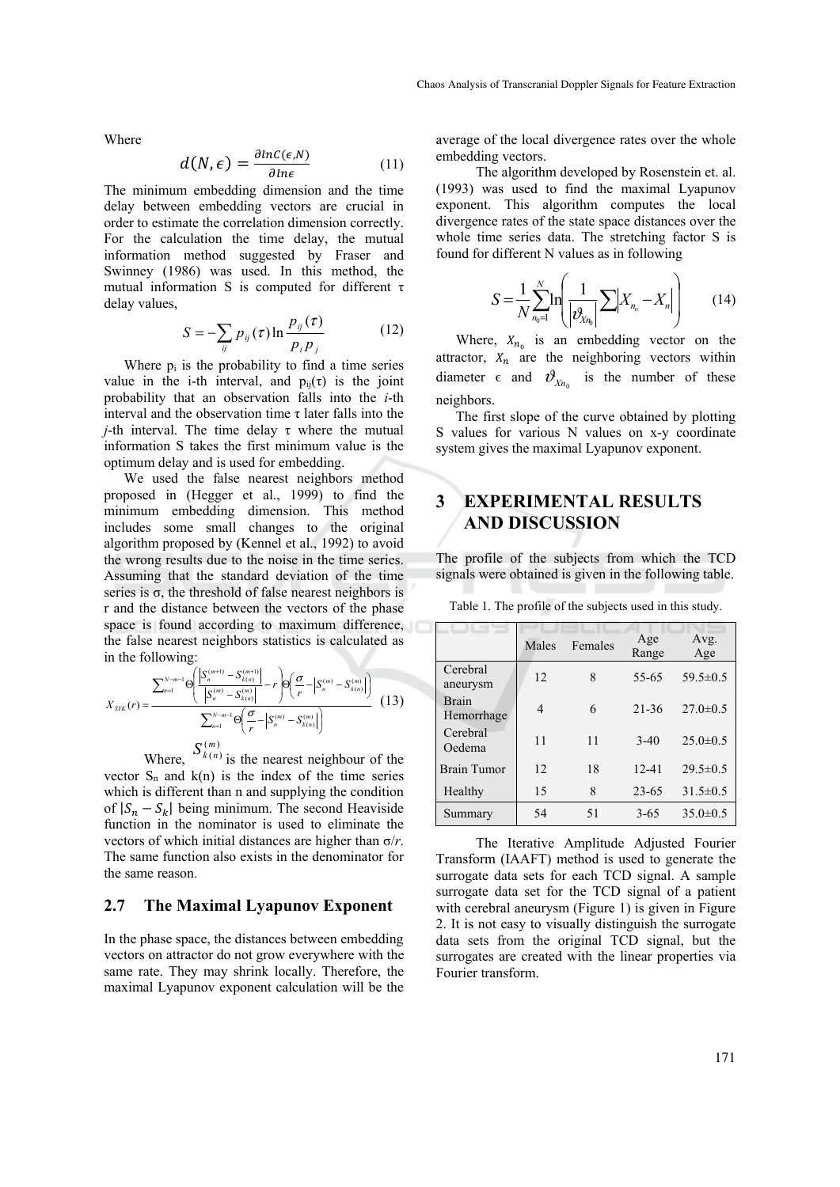Where

$$
d(N,\epsilon) = \frac{\partial \ln C(\epsilon, N)}{\partial \ln \epsilon} \tag{11}
$$

The minimum embedding dimension and the time delay between embedding vectors are crucial in order to estimate the correlation dimension correctly. For the calculation the time delay, the mutual information method suggested by Fraser and Swinney (1986) was used. In this method, the mutual information S is computed for different  $\tau$ delay values,

$$
S = -\sum_{ij} p_{ij}(\tau) \ln \frac{p_{ij}(\tau)}{p_i p_j} \tag{12}
$$

Where  $p_i$  is the probability to find a time series value in the i-th interval, and  $p_{ii}(\tau)$  is the joint probability that an observation falls into the *i*-th interval and the observation time  $\tau$  later falls into the *j*-th interval. The time delay τ where the mutual information S takes the first minimum value is the optimum delay and is used for embedding.

We used the false nearest neighbors method proposed in (Hegger et al., 1999) to find the minimum embedding dimension. This method includes some small changes to the original algorithm proposed by (Kennel et al., 1992) to avoid the wrong results due to the noise in the time series. Assuming that the standard deviation of the time series is  $\sigma$ , the threshold of false nearest neighbors is r and the distance between the vectors of the phase space is found according to maximum difference, the false nearest neighbors statistics is calculated as in the following:

$$
X_{\text{SYK}}(r) = \frac{\sum_{n=1}^{N-m-1} \Theta\left(\frac{\left|S_n^{(m+1)} - S_{k(n)}^{(m+1)}\right|}{\left|S_n^{(m)} - S_{k(n)}^{(m)}\right|} - r\right) \Theta\left(\frac{\sigma}{r} - \left|S_n^{(m)} - S_{k(n)}^{(m)}\right|\right)}{\sum_{n=1}^{N-m-1} \Theta\left(\frac{\sigma}{r} - \left|S_n^{(m)} - S_{k(n)}^{(m)}\right|\right)}
$$
(13)

Where,  $S_{k(n)}^{(m)}$  is the nearest neighbour of the vector  $S_n$  and  $k(n)$  is the index of the time series which is different than n and supplying the condition of  $|S_n - S_k|$  being minimum. The second Heaviside function in the nominator is used to eliminate the vectors of which initial distances are higher than σ/*r*. The same function also exists in the denominator for the same reason.

#### **2.7 The Maximal Lyapunov Exponent**

In the phase space, the distances between embedding vectors on attractor do not grow everywhere with the same rate. They may shrink locally. Therefore, the maximal Lyapunov exponent calculation will be the

average of the local divergence rates over the whole embedding vectors.

 The algorithm developed by Rosenstein et. al. (1993) was used to find the maximal Lyapunov exponent. This algorithm computes the local divergence rates of the state space distances over the whole time series data. The stretching factor S is found for different N values as in following

$$
S = \frac{1}{N} \sum_{n_0=1}^{N} \ln \left( \frac{1}{\left| \partial_{X_n}} \sum |X_{n_0} - X_n| \right) \right) \tag{14}
$$

Where,  $X_{n_0}$  is an embedding vector on the attractor,  $X_n$  are the neighboring vectors within diameter  $\epsilon$  and  $\mathcal{V}_{Y_n}$  is the number of these neighbors.

The first slope of the curve obtained by plotting S values for various N values on x-y coordinate system gives the maximal Lyapunov exponent.

## **3 EXPERIMENTAL RESULTS AND DISCUSSION**

The profile of the subjects from which the TCD signals were obtained is given in the following table.

|                            | Males | Females | Age<br>Range | Avg.<br>Age    |
|----------------------------|-------|---------|--------------|----------------|
| Cerebral<br>aneurysm       | 12    | 8       | 55-65        | $59.5 \pm 0.5$ |
| <b>Brain</b><br>Hemorrhage | 4     | 6       | $21 - 36$    | $27.0 \pm 0.5$ |
| Cerebral<br>Oedema         | 11    | 11      | $3-40$       | $25.0 \pm 0.5$ |
| <b>Brain Tumor</b>         | 12    | 18      | $12 - 41$    | $29.5 \pm 0.5$ |
| Healthy                    | 15    | 8       | $23 - 65$    | $31.5 \pm 0.5$ |
| Summary                    | 54    | 51      | $3 - 65$     | $35.0 \pm 0.5$ |

Table 1. The profile of the subjects used in this study.

 The Iterative Amplitude Adjusted Fourier Transform (IAAFT) method is used to generate the surrogate data sets for each TCD signal. A sample surrogate data set for the TCD signal of a patient with cerebral aneurysm (Figure 1) is given in Figure 2. It is not easy to visually distinguish the surrogate data sets from the original TCD signal, but the surrogates are created with the linear properties via Fourier transform.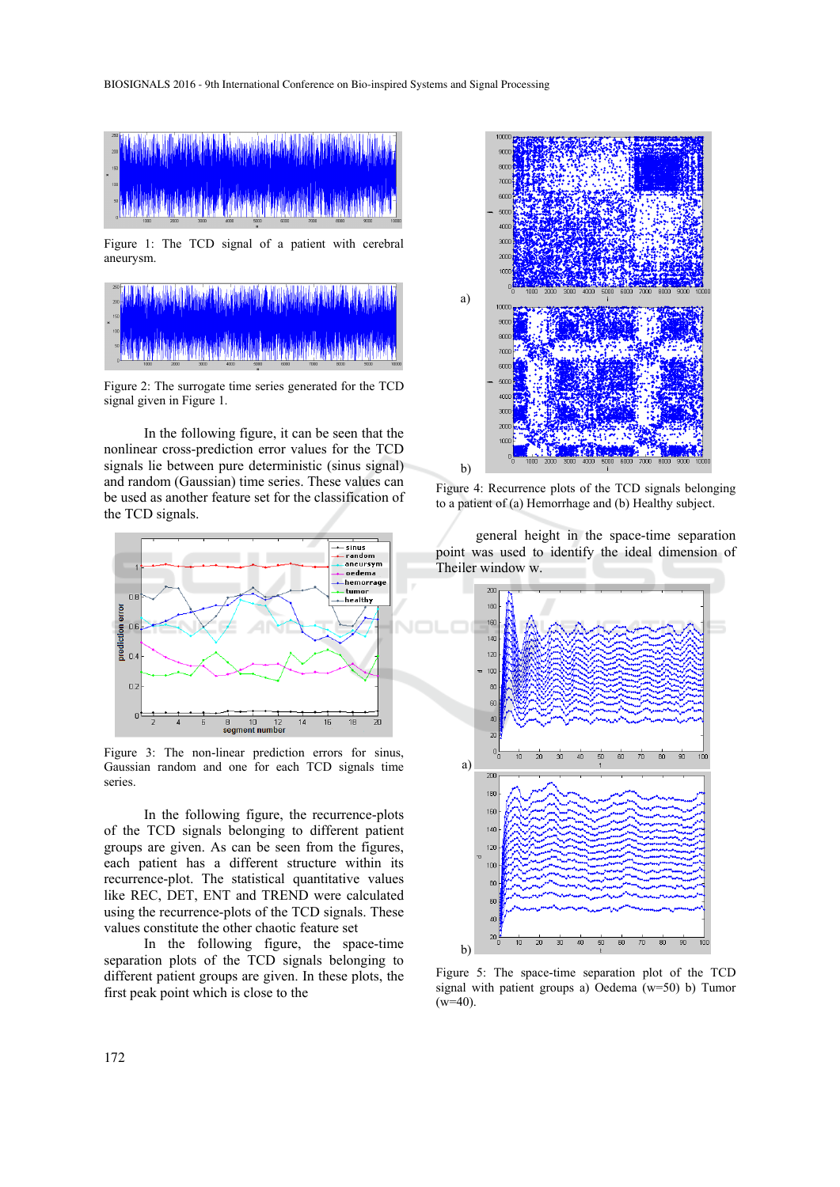

Figure 1: The TCD signal of a patient with cerebral aneurysm.



Figure 2: The surrogate time series generated for the TCD signal given in Figure 1.

 In the following figure, it can be seen that the nonlinear cross-prediction error values for the TCD signals lie between pure deterministic (sinus signal) and random (Gaussian) time series. These values can be used as another feature set for the classification of the TCD signals.



Figure 3: The non-linear prediction errors for sinus, Gaussian random and one for each TCD signals time series.

 In the following figure, the recurrence-plots of the TCD signals belonging to different patient groups are given. As can be seen from the figures, each patient has a different structure within its recurrence-plot. The statistical quantitative values like REC, DET, ENT and TREND were calculated using the recurrence-plots of the TCD signals. These values constitute the other chaotic feature set

 In the following figure, the space-time separation plots of the TCD signals belonging to different patient groups are given. In these plots, the first peak point which is close to the



Figure 4: Recurrence plots of the TCD signals belonging to a patient of (a) Hemorrhage and (b) Healthy subject.

 general height in the space-time separation point was used to identify the ideal dimension of Theiler window w.



Figure 5: The space-time separation plot of the TCD signal with patient groups a) Oedema (w=50) b) Tumor  $(w=40)$ .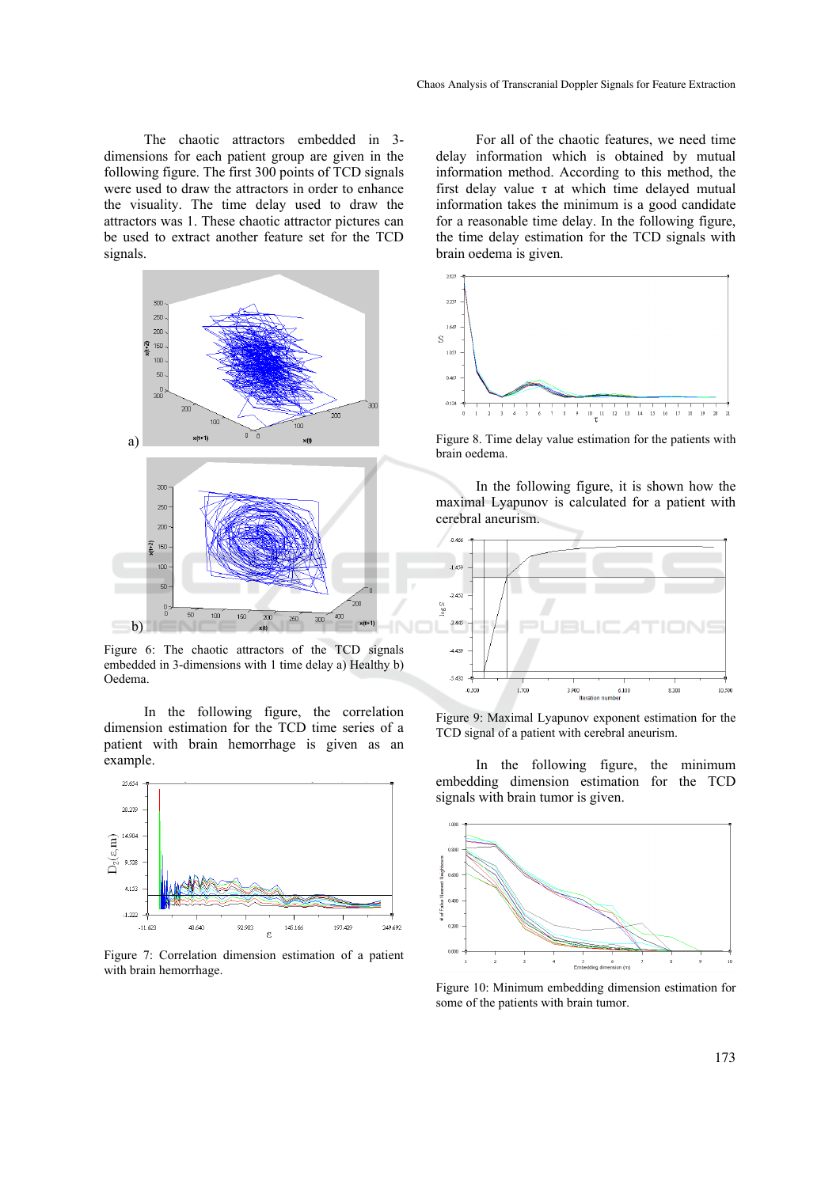The chaotic attractors embedded in 3 dimensions for each patient group are given in the following figure. The first 300 points of TCD signals were used to draw the attractors in order to enhance the visuality. The time delay used to draw the attractors was 1. These chaotic attractor pictures can be used to extract another feature set for the TCD signals.



Figure 6: The chaotic attractors of the TCD signals embedded in 3-dimensions with 1 time delay a) Healthy b) Oedema.

 In the following figure, the correlation dimension estimation for the TCD time series of a patient with brain hemorrhage is given as an example.



Figure 7: Correlation dimension estimation of a patient with brain hemorrhage.

 For all of the chaotic features, we need time delay information which is obtained by mutual information method. According to this method, the first delay value  $\tau$  at which time delayed mutual information takes the minimum is a good candidate for a reasonable time delay. In the following figure, the time delay estimation for the TCD signals with brain oedema is given.



Figure 8. Time delay value estimation for the patients with brain oedema.

 In the following figure, it is shown how the maximal Lyapunov is calculated for a patient with cerebral aneurism.



Figure 9: Maximal Lyapunov exponent estimation for the TCD signal of a patient with cerebral aneurism.

 In the following figure, the minimum embedding dimension estimation for the TCD signals with brain tumor is given.



Figure 10: Minimum embedding dimension estimation for some of the patients with brain tumor.